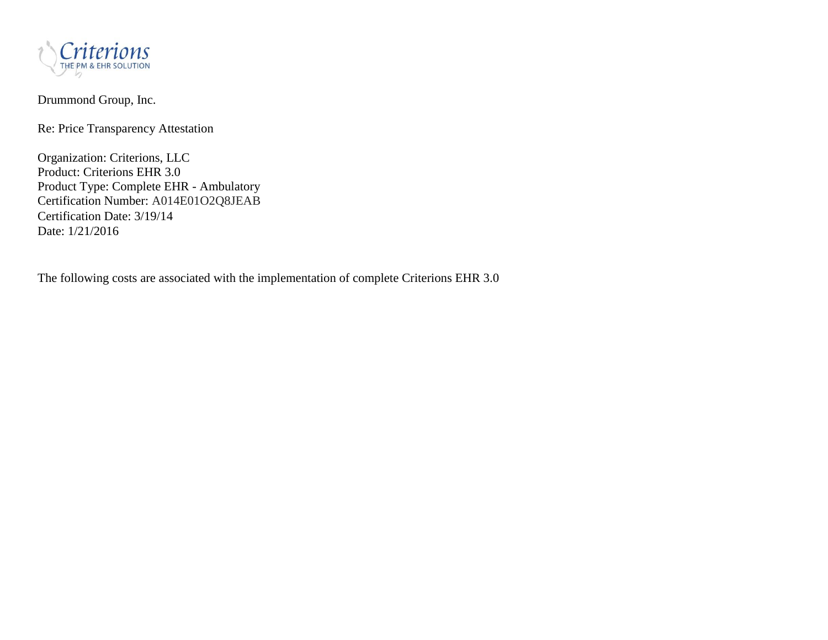

# Drummond Group, Inc.

Re: Price Transparency Attestation

Organization: Criterions, LLC Product: Criterions EHR 3.0 Product Type: Complete EHR - Ambulatory Certification Number: A014E01O2Q8JEAB Certification Date: 3/19/14 Date: 1/21/2016

The following costs are associated with the implementation of complete Criterions EHR 3.0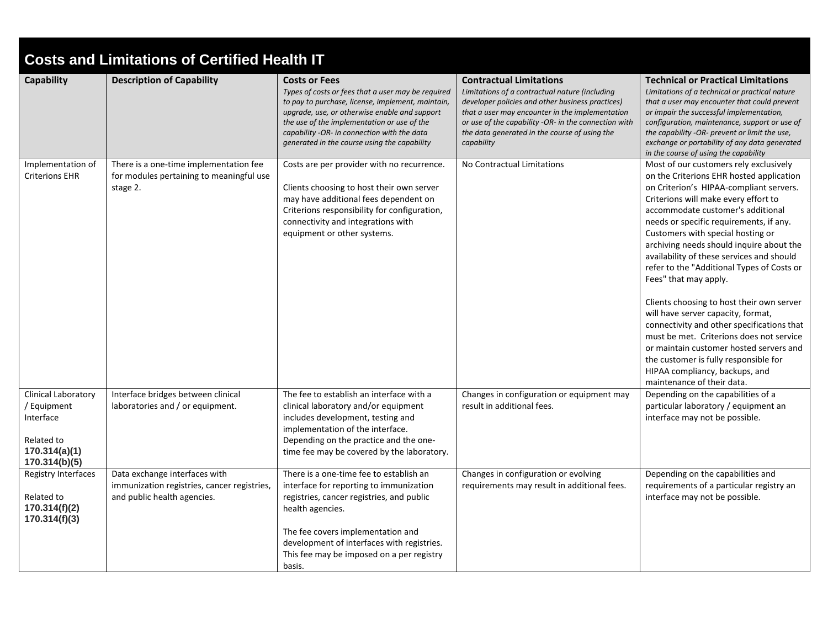| <b>Costs and Limitations of Certified Health IT</b>                                                    |                                                                                                             |                                                                                                                                                                                                                                                                                                                                |                                                                                                                                                                                                                                                                                                                |                                                                                                                                                                                                                                                                                                                                                                                                                                                                                                                                                                                                                                                                                                                                                                                             |  |  |
|--------------------------------------------------------------------------------------------------------|-------------------------------------------------------------------------------------------------------------|--------------------------------------------------------------------------------------------------------------------------------------------------------------------------------------------------------------------------------------------------------------------------------------------------------------------------------|----------------------------------------------------------------------------------------------------------------------------------------------------------------------------------------------------------------------------------------------------------------------------------------------------------------|---------------------------------------------------------------------------------------------------------------------------------------------------------------------------------------------------------------------------------------------------------------------------------------------------------------------------------------------------------------------------------------------------------------------------------------------------------------------------------------------------------------------------------------------------------------------------------------------------------------------------------------------------------------------------------------------------------------------------------------------------------------------------------------------|--|--|
| <b>Capability</b>                                                                                      | <b>Description of Capability</b>                                                                            | <b>Costs or Fees</b><br>Types of costs or fees that a user may be required<br>to pay to purchase, license, implement, maintain,<br>upgrade, use, or otherwise enable and support<br>the use of the implementation or use of the<br>capability -OR- in connection with the data<br>generated in the course using the capability | <b>Contractual Limitations</b><br>Limitations of a contractual nature (including<br>developer policies and other business practices)<br>that a user may encounter in the implementation<br>or use of the capability -OR- in the connection with<br>the data generated in the course of using the<br>capability | <b>Technical or Practical Limitations</b><br>Limitations of a technical or practical nature<br>that a user may encounter that could prevent<br>or impair the successful implementation,<br>configuration, maintenance, support or use of<br>the capability -OR- prevent or limit the use,<br>exchange or portability of any data generated<br>in the course of using the capability                                                                                                                                                                                                                                                                                                                                                                                                         |  |  |
| Implementation of<br><b>Criterions EHR</b>                                                             | There is a one-time implementation fee<br>for modules pertaining to meaningful use<br>stage 2.              | Costs are per provider with no recurrence.<br>Clients choosing to host their own server<br>may have additional fees dependent on<br>Criterions responsibility for configuration,<br>connectivity and integrations with<br>equipment or other systems.                                                                          | No Contractual Limitations                                                                                                                                                                                                                                                                                     | Most of our customers rely exclusively<br>on the Criterions EHR hosted application<br>on Criterion's HIPAA-compliant servers.<br>Criterions will make every effort to<br>accommodate customer's additional<br>needs or specific requirements, if any.<br>Customers with special hosting or<br>archiving needs should inquire about the<br>availability of these services and should<br>refer to the "Additional Types of Costs or<br>Fees" that may apply.<br>Clients choosing to host their own server<br>will have server capacity, format,<br>connectivity and other specifications that<br>must be met. Criterions does not service<br>or maintain customer hosted servers and<br>the customer is fully responsible for<br>HIPAA compliancy, backups, and<br>maintenance of their data. |  |  |
| <b>Clinical Laboratory</b><br>/ Equipment<br>Interface<br>Related to<br>170.314(a)(1)<br>170.314(b)(5) | Interface bridges between clinical<br>laboratories and / or equipment.                                      | The fee to establish an interface with a<br>clinical laboratory and/or equipment<br>includes development, testing and<br>implementation of the interface.<br>Depending on the practice and the one-<br>time fee may be covered by the laboratory.                                                                              | Changes in configuration or equipment may<br>result in additional fees.                                                                                                                                                                                                                                        | Depending on the capabilities of a<br>particular laboratory / equipment an<br>interface may not be possible.                                                                                                                                                                                                                                                                                                                                                                                                                                                                                                                                                                                                                                                                                |  |  |
| Registry Interfaces<br>Related to<br>170.314(f)(2)<br>170.314(f)(3)                                    | Data exchange interfaces with<br>immunization registries, cancer registries,<br>and public health agencies. | There is a one-time fee to establish an<br>interface for reporting to immunization<br>registries, cancer registries, and public<br>health agencies.<br>The fee covers implementation and<br>development of interfaces with registries.<br>This fee may be imposed on a per registry<br>basis.                                  | Changes in configuration or evolving<br>requirements may result in additional fees.                                                                                                                                                                                                                            | Depending on the capabilities and<br>requirements of a particular registry an<br>interface may not be possible.                                                                                                                                                                                                                                                                                                                                                                                                                                                                                                                                                                                                                                                                             |  |  |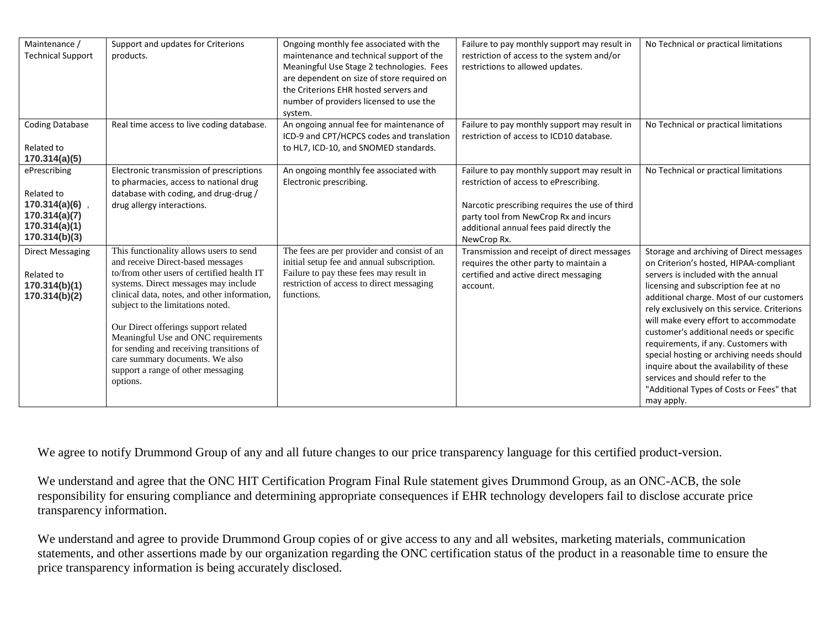| Maintenance /<br><b>Technical Support</b>                                                      | Support and updates for Criterions<br>products.                                                                                                                                                                                                                                                                                                                                                                                                                         | Ongoing monthly fee associated with the<br>maintenance and technical support of the<br>Meaningful Use Stage 2 technologies. Fees<br>are dependent on size of store required on<br>the Criterions EHR hosted servers and<br>number of providers licensed to use the<br>system. | Failure to pay monthly support may result in<br>restriction of access to the system and/or<br>restrictions to allowed updates.                                                                                                               | No Technical or practical limitations                                                                                                                                                                                                                                                                                                                                                                                                                                                                                                                                           |
|------------------------------------------------------------------------------------------------|-------------------------------------------------------------------------------------------------------------------------------------------------------------------------------------------------------------------------------------------------------------------------------------------------------------------------------------------------------------------------------------------------------------------------------------------------------------------------|-------------------------------------------------------------------------------------------------------------------------------------------------------------------------------------------------------------------------------------------------------------------------------|----------------------------------------------------------------------------------------------------------------------------------------------------------------------------------------------------------------------------------------------|---------------------------------------------------------------------------------------------------------------------------------------------------------------------------------------------------------------------------------------------------------------------------------------------------------------------------------------------------------------------------------------------------------------------------------------------------------------------------------------------------------------------------------------------------------------------------------|
| <b>Coding Database</b><br>Related to<br>170.314(a)(5)                                          | Real time access to live coding database.                                                                                                                                                                                                                                                                                                                                                                                                                               | An ongoing annual fee for maintenance of<br>ICD-9 and CPT/HCPCS codes and translation<br>to HL7, ICD-10, and SNOMED standards.                                                                                                                                                | Failure to pay monthly support may result in<br>restriction of access to ICD10 database.                                                                                                                                                     | No Technical or practical limitations                                                                                                                                                                                                                                                                                                                                                                                                                                                                                                                                           |
| ePrescribing<br>Related to<br>170.314(a)(6)<br>170.314(a)(7)<br>170.314(a)(1)<br>170.314(b)(3) | Electronic transmission of prescriptions<br>to pharmacies, access to national drug<br>database with coding, and drug-drug /<br>drug allergy interactions.                                                                                                                                                                                                                                                                                                               | An ongoing monthly fee associated with<br>Electronic prescribing.                                                                                                                                                                                                             | Failure to pay monthly support may result in<br>restriction of access to ePrescribing.<br>Narcotic prescribing requires the use of third<br>party tool from NewCrop Rx and incurs<br>additional annual fees paid directly the<br>NewCrop Rx. | No Technical or practical limitations                                                                                                                                                                                                                                                                                                                                                                                                                                                                                                                                           |
| <b>Direct Messaging</b><br>Related to<br>170.314(b)(1)<br>170.314(b)(2)                        | This functionality allows users to send<br>and receive Direct-based messages<br>to/from other users of certified health IT<br>systems. Direct messages may include<br>clinical data, notes, and other information,<br>subject to the limitations noted.<br>Our Direct offerings support related<br>Meaningful Use and ONC requirements<br>for sending and receiving transitions of<br>care summary documents. We also<br>support a range of other messaging<br>options. | The fees are per provider and consist of an<br>initial setup fee and annual subscription.<br>Failure to pay these fees may result in<br>restriction of access to direct messaging<br>functions.                                                                               | Transmission and receipt of direct messages<br>requires the other party to maintain a<br>certified and active direct messaging<br>account.                                                                                                   | Storage and archiving of Direct messages<br>on Criterion's hosted, HIPAA-compliant<br>servers is included with the annual<br>licensing and subscription fee at no<br>additional charge. Most of our customers<br>rely exclusively on this service. Criterions<br>will make every effort to accommodate<br>customer's additional needs or specific<br>requirements, if any. Customers with<br>special hosting or archiving needs should<br>inquire about the availability of these<br>services and should refer to the<br>"Additional Types of Costs or Fees" that<br>may apply. |

We agree to notify Drummond Group of any and all future changes to our price transparency language for this certified product-version.

We understand and agree that the ONC HIT Certification Program Final Rule statement gives Drummond Group, as an ONC-ACB, the sole responsibility for ensuring compliance and determining appropriate consequences if EHR technology developers fail to disclose accurate price transparency information.

We understand and agree to provide Drummond Group copies of or give access to any and all websites, marketing materials, communication statements, and other assertions made by our organization regarding the ONC certification status of the product in a reasonable time to ensure the price transparency information is being accurately disclosed.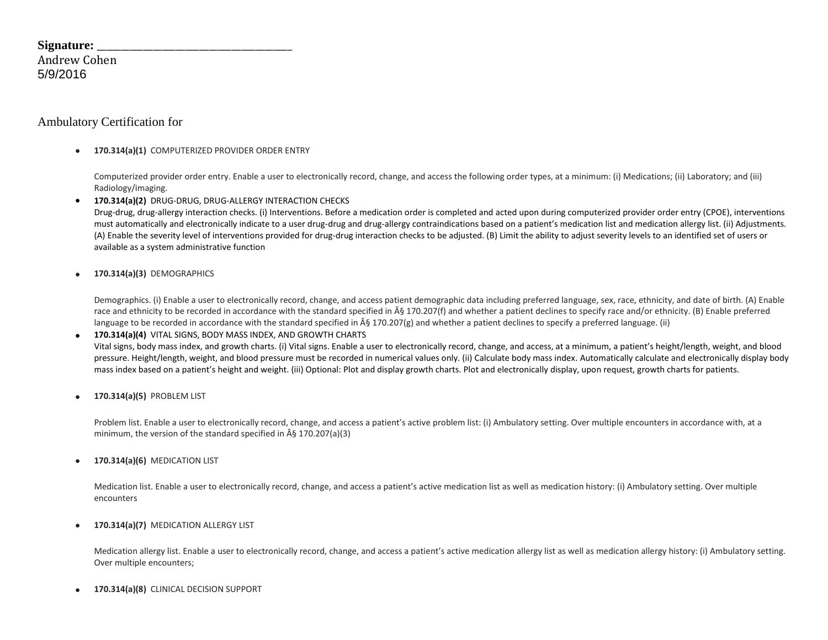| Signature:   |  |
|--------------|--|
| Andrew Cohen |  |
| 5/9/2016     |  |

## Ambulatory Certification for

**170.314(a)(1)** COMPUTERIZED PROVIDER ORDER ENTRY

Computerized provider order entry. Enable a user to electronically record, change, and access the following order types, at a minimum: (i) Medications; (ii) Laboratory; and (iii) Radiology/imaging.

**170.314(a)(2)** DRUG-DRUG, DRUG-ALLERGY INTERACTION CHECKS

Drug-drug, drug-allergy interaction checks. (i) Interventions. Before a medication order is completed and acted upon during computerized provider order entry (CPOE), interventions must automatically and electronically indicate to a user drug-drug and drug-allergy contraindications based on a patient's medication list and medication allergy list. (ii) Adjustments. (A) Enable the severity level of interventions provided for drug-drug interaction checks to be adjusted. (B) Limit the ability to adjust severity levels to an identified set of users or available as a system administrative function

**170.314(a)(3)** DEMOGRAPHICS

Demographics. (i) Enable a user to electronically record, change, and access patient demographic data including preferred language, sex, race, ethnicity, and date of birth. (A) Enable race and ethnicity to be recorded in accordance with the standard specified in § 170.207(f) and whether a patient declines to specify race and/or ethnicity. (B) Enable preferred language to be recorded in accordance with the standard specified in § 170.207(g) and whether a patient declines to specify a preferred language. (ii)

### **170.314(a)(4)** VITAL SIGNS, BODY MASS INDEX, AND GROWTH CHARTS Vital signs, body mass index, and growth charts. (i) Vital signs. Enable a user to electronically record, change, and access, at a minimum, a patient's height/length, weight, and blood pressure. Height/length, weight, and blood pressure must be recorded in numerical values only. (ii) Calculate body mass index. Automatically calculate and electronically display body mass index based on a patient's height and weight. (iii) Optional: Plot and display growth charts. Plot and electronically display, upon request, growth charts for patients.

**170.314(a)(5)** PROBLEM LIST

Problem list. Enable a user to electronically record, change, and access a patient's active problem list: (i) Ambulatory setting. Over multiple encounters in accordance with, at a minimum, the version of the standard specified in  $\hat{A}\hat{S}$  170.207(a)(3)

**170.314(a)(6)** MEDICATION LIST

Medication list. Enable a user to electronically record, change, and access a patient's active medication list as well as medication history: (i) Ambulatory setting. Over multiple encounters

**170.314(a)(7)** MEDICATION ALLERGY LIST

Medication allergy list. Enable a user to electronically record, change, and access a patient's active medication allergy list as well as medication allergy history: (i) Ambulatory setting. Over multiple encounters;

**170.314(a)(8)** CLINICAL DECISION SUPPORT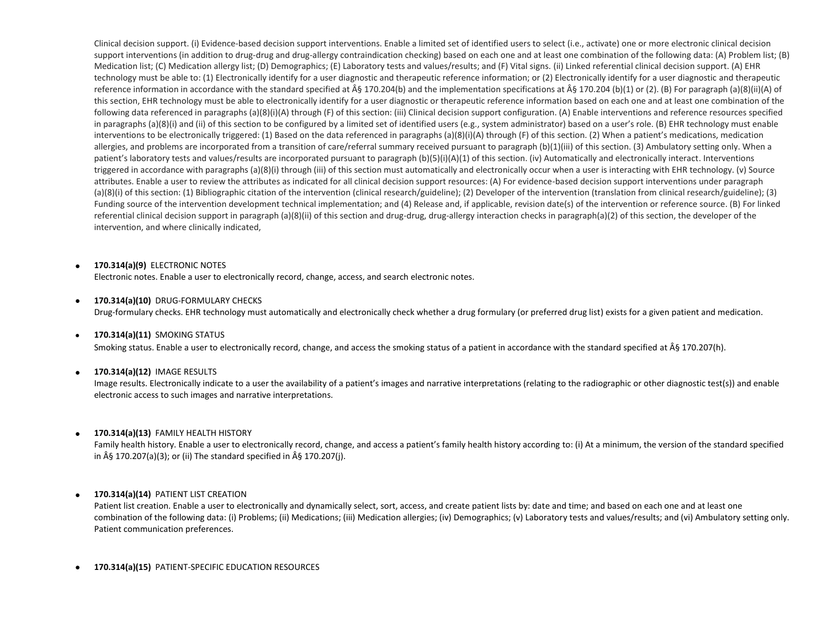Clinical decision support. (i) Evidence-based decision support interventions. Enable a limited set of identified users to select (i.e., activate) one or more electronic clinical decision support interventions (in addition to drug-drug and drug-allergy contraindication checking) based on each one and at least one combination of the following data: (A) Problem list; (B) Medication list; (C) Medication allergy list; (D) Demographics; (E) Laboratory tests and values/results; and (F) Vital signs. (ii) Linked referential clinical decision support. (A) EHR technology must be able to: (1) Electronically identify for a user diagnostic and therapeutic reference information; or (2) Electronically identify for a user diagnostic and therapeutic reference information in accordance with the standard specified at  $\hat{A}\$  170.204(b) and the implementation specifications at  $\hat{A}\hat{S}$  170.204 (b)(1) or (2). (B) For paragraph (a)(8)(ii)(A) of this section, EHR technology must be able to electronically identify for a user diagnostic or therapeutic reference information based on each one and at least one combination of the following data referenced in paragraphs (a)(8)(i)(A) through (F) of this section: (iii) Clinical decision support configuration. (A) Enable interventions and reference resources specified in paragraphs (a)(8)(i) and (ii) of this section to be configured by a limited set of identified users (e.g., system administrator) based on a user's role. (B) EHR technology must enable interventions to be electronically triggered: (1) Based on the data referenced in paragraphs (a)(8)(i)(A) through (F) of this section. (2) When a patient's medications, medication allergies, and problems are incorporated from a transition of care/referral summary received pursuant to paragraph (b)(1)(iii) of this section. (3) Ambulatory setting only. When a patient's laboratory tests and values/results are incorporated pursuant to paragraph (b)(5)(i)(A)(1) of this section. (iv) Automatically and electronically interact. Interventions triggered in accordance with paragraphs (a)(8)(i) through (iii) of this section must automatically and electronically occur when a user is interacting with EHR technology. (v) Source attributes. Enable a user to review the attributes as indicated for all clinical decision support resources: (A) For evidence-based decision support interventions under paragraph (a)(8)(i) of this section: (1) Bibliographic citation of the intervention (clinical research/guideline); (2) Developer of the intervention (translation from clinical research/guideline); (3) Funding source of the intervention development technical implementation; and (4) Release and, if applicable, revision date(s) of the intervention or reference source. (B) For linked referential clinical decision support in paragraph (a)(8)(ii) of this section and drug-drug, drug-allergy interaction checks in paragraph(a)(2) of this section, the developer of the intervention, and where clinically indicated,

#### **170.314(a)(9)** ELECTRONIC NOTES

Electronic notes. Enable a user to electronically record, change, access, and search electronic notes.

#### **170.314(a)(10)** DRUG-FORMULARY CHECKS

Drug-formulary checks. EHR technology must automatically and electronically check whether a drug formulary (or preferred drug list) exists for a given patient and medication.

#### **170.314(a)(11)** SMOKING STATUS

Smoking status. Enable a user to electronically record, change, and access the smoking status of a patient in accordance with the standard specified at § 170.207(h).

#### **170.314(a)(12)** IMAGE RESULTS

Image results. Electronically indicate to a user the availability of a patient's images and narrative interpretations (relating to the radiographic or other diagnostic test(s)) and enable electronic access to such images and narrative interpretations.

#### **170.314(a)(13)** FAMILY HEALTH HISTORY

Family health history. Enable a user to electronically record, change, and access a patient's family health history according to: (i) At a minimum, the version of the standard specified in  $\hat{A}\hat{S}$  170.207(a)(3); or (ii) The standard specified in  $\hat{A}\hat{S}$  170.207(i).

#### **170.314(a)(14)** PATIENT LIST CREATION

Patient list creation. Enable a user to electronically and dynamically select, sort, access, and create patient lists by: date and time; and based on each one and at least one combination of the following data: (i) Problems; (ii) Medications; (iii) Medication allergies; (iv) Demographics; (v) Laboratory tests and values/results; and (vi) Ambulatory setting only. Patient communication preferences.

**170.314(a)(15)** PATIENT-SPECIFIC EDUCATION RESOURCES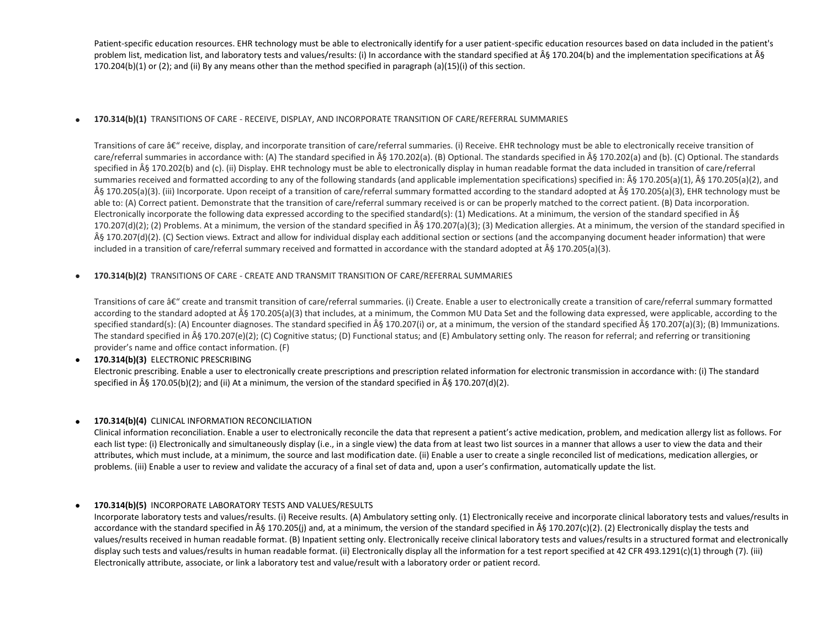Patient-specific education resources. EHR technology must be able to electronically identify for a user patient-specific education resources based on data included in the patient's problem list, medication list, and laboratory tests and values/results: (i) In accordance with the standard specified at  $\hat{A}\hat{S}$  170.204(b) and the implementation specifications at  $\hat{A}\hat{S}$ 170.204(b)(1) or (2); and (ii) By any means other than the method specified in paragraph (a)(15)(i) of this section.

### **170.314(b)(1)** TRANSITIONS OF CARE - RECEIVE, DISPLAY, AND INCORPORATE TRANSITION OF CARE/REFERRAL SUMMARIES

Transitions of care  $\hat{\alpha}\epsilon^{\mu}$  receive, display, and incorporate transition of care/referral summaries. (i) Receive. EHR technology must be able to electronically receive transition of care/referral summaries in accordance with: (A) The standard specified in § 170.202(a). (B) Optional. The standards specified in § 170.202(a) and (b). (C) Optional. The standards specified in § 170.202(b) and (c). (ii) Display. EHR technology must be able to electronically display in human readable format the data included in transition of care/referral summaries received and formatted according to any of the following standards (and applicable implementation specifications) specified in:  $\hat{A}$ § 170.205(a)(1),  $\hat{A}$ § 170.205(a)(2), and § 170.205(a)(3). (iii) Incorporate. Upon receipt of a transition of care/referral summary formatted according to the standard adopted at § 170.205(a)(3), EHR technology must be able to: (A) Correct patient. Demonstrate that the transition of care/referral summary received is or can be properly matched to the correct patient. (B) Data incorporation. Electronically incorporate the following data expressed according to the specified standard(s): (1) Medications. At a minimum, the version of the standard specified in  $\hat{A}\hat{S}$ 170.207(d)(2); (2) Problems. At a minimum, the version of the standard specified in  $\hat{A}\hat{S}$  170.207(a)(3); (3) Medication allergies. At a minimum, the version of the standard specified in § 170.207(d)(2). (C) Section views. Extract and allow for individual display each additional section or sections (and the accompanying document header information) that were included in a transition of care/referral summary received and formatted in accordance with the standard adopted at  $\hat{A}$ § 170.205(a)(3).

#### **170.314(b)(2)** TRANSITIONS OF CARE - CREATE AND TRANSMIT TRANSITION OF CARE/REFERRAL SUMMARIES

Transitions of care â€" create and transmit transition of care/referral summaries. (i) Create. Enable a user to electronically create a transition of care/referral summary formatted according to the standard adopted at  $\hat{A}$  6 170.205(a)(3) that includes, at a minimum, the Common MU Data Set and the following data expressed, were applicable, according to the specified standard(s): (A) Encounter diagnoses. The standard specified in § 170.207(i) or, at a minimum, the version of the standard specified § 170.207(a)(3); (B) Immunizations. The standard specified in  $\hat{A}\hat{S}$  170.207(e)(2); (C) Cognitive status; (D) Functional status; and (E) Ambulatory setting only. The reason for referral; and referring or transitioning provider's name and office contact information. (F)

 **170.314(b)(3)** ELECTRONIC PRESCRIBING Electronic prescribing. Enable a user to electronically create prescriptions and prescription related information for electronic transmission in accordance with: (i) The standard specified in  $\hat{A}$ § 170.05(b)(2); and (ii) At a minimum, the version of the standard specified in  $\hat{A}$ § 170.207(d)(2).

### **170.314(b)(4)** CLINICAL INFORMATION RECONCILIATION

Clinical information reconciliation. Enable a user to electronically reconcile the data that represent a patient's active medication, problem, and medication allergy list as follows. For each list type: (i) Electronically and simultaneously display (i.e., in a single view) the data from at least two list sources in a manner that allows a user to view the data and their attributes, which must include, at a minimum, the source and last modification date. (ii) Enable a user to create a single reconciled list of medications, medication allergies, or problems. (iii) Enable a user to review and validate the accuracy of a final set of data and, upon a user's confirmation, automatically update the list.

### **170.314(b)(5)** INCORPORATE LABORATORY TESTS AND VALUES/RESULTS

Incorporate laboratory tests and values/results. (i) Receive results. (A) Ambulatory setting only. (1) Electronically receive and incorporate clinical laboratory tests and values/results in accordance with the standard specified in  $\hat{A}$ § 170.205(j) and, at a minimum, the version of the standard specified in  $\hat{A}$ § 170.207(c)(2). (2) Electronically display the tests and values/results received in human readable format. (B) Inpatient setting only. Electronically receive clinical laboratory tests and values/results in a structured format and electronically display such tests and values/results in human readable format. (ii) Electronically display all the information for a test report specified at 42 CFR 493.1291(c)(1) through (7). (iii) Electronically attribute, associate, or link a laboratory test and value/result with a laboratory order or patient record.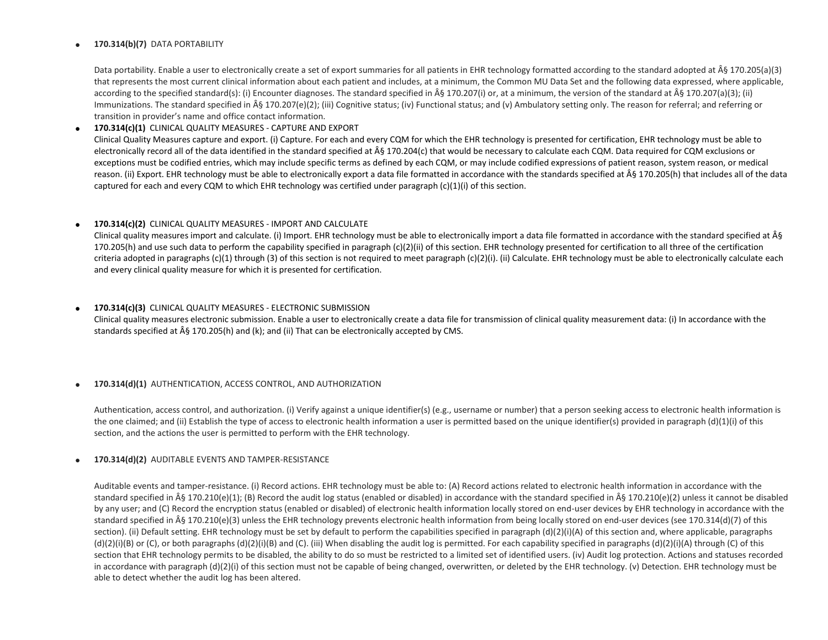#### **170.314(b)(7)** DATA PORTABILITY

Data portability. Enable a user to electronically create a set of export summaries for all patients in EHR technology formatted according to the standard adopted at  $\hat{A}\hat{S}$  170.205(a)(3) that represents the most current clinical information about each patient and includes, at a minimum, the Common MU Data Set and the following data expressed, where applicable, according to the specified standard(s): (i) Encounter diagnoses. The standard specified in § 170.207(i) or, at a minimum, the version of the standard at § 170.207(a)(3); (ii) Immunizations. The standard specified in  $\hat{A}$ § 170.207(e)(2); (iii) Cognitive status; (iv) Functional status; and (v) Ambulatory setting only. The reason for referral; and referring or transition in provider's name and office contact information.

#### **170.314(c)(1)** CLINICAL QUALITY MEASURES - CAPTURE AND EXPORT

Clinical Quality Measures capture and export. (i) Capture. For each and every CQM for which the EHR technology is presented for certification, EHR technology must be able to electronically record all of the data identified in the standard specified at § 170.204(c) that would be necessary to calculate each CQM. Data required for CQM exclusions or exceptions must be codified entries, which may include specific terms as defined by each CQM, or may include codified expressions of patient reason, system reason, or medical reason. (ii) Export. EHR technology must be able to electronically export a data file formatted in accordance with the standards specified at § 170.205(h) that includes all of the data captured for each and every CQM to which EHR technology was certified under paragraph  $(c)(1)(i)$  of this section.

#### **170.314(c)(2)** CLINICAL QUALITY MEASURES - IMPORT AND CALCULATE

Clinical quality measures import and calculate. (i) Import. EHR technology must be able to electronically import a data file formatted in accordance with the standard specified at  $\hat{A}\hat{S}$ 170.205(h) and use such data to perform the capability specified in paragraph (c)(2)(ii) of this section. EHR technology presented for certification to all three of the certification criteria adopted in paragraphs (c)(1) through (3) of this section is not required to meet paragraph (c)(2)(i). (ii) Calculate. EHR technology must be able to electronically calculate each and every clinical quality measure for which it is presented for certification.

#### **170.314(c)(3)** CLINICAL QUALITY MEASURES - ELECTRONIC SUBMISSION

Clinical quality measures electronic submission. Enable a user to electronically create a data file for transmission of clinical quality measurement data: (i) In accordance with the standards specified at § 170.205(h) and (k); and (ii) That can be electronically accepted by CMS.

#### **170.314(d)(1)** AUTHENTICATION, ACCESS CONTROL, AND AUTHORIZATION

Authentication, access control, and authorization. (i) Verify against a unique identifier(s) (e.g., username or number) that a person seeking access to electronic health information is the one claimed; and (ii) Establish the type of access to electronic health information a user is permitted based on the unique identifier(s) provided in paragraph (d)(1)(i) of this section, and the actions the user is permitted to perform with the EHR technology.

#### **170.314(d)(2)** AUDITABLE EVENTS AND TAMPER-RESISTANCE

Auditable events and tamper-resistance. (i) Record actions. EHR technology must be able to: (A) Record actions related to electronic health information in accordance with the standard specified in § 170.210(e)(1); (B) Record the audit log status (enabled or disabled) in accordance with the standard specified in § 170.210(e)(2) unless it cannot be disabled by any user; and (C) Record the encryption status (enabled or disabled) of electronic health information locally stored on end-user devices by EHR technology in accordance with the standard specified in § 170.210(e)(3) unless the EHR technology prevents electronic health information from being locally stored on end-user devices (see 170.314(d)(7) of this section). (ii) Default setting. EHR technology must be set by default to perform the capabilities specified in paragraph (d)(2)(i)(A) of this section and, where applicable, paragraphs  $(d)(2)(i)(B)$  or  $(C)$ , or both paragraphs  $(d)(2)(i)(B)$  and  $(C)$ . (iii) When disabling the audit log is permitted. For each capability specified in paragraphs  $(d)(2)(i)(A)$  through  $(C)$  of this section that EHR technology permits to be disabled, the ability to do so must be restricted to a limited set of identified users. (iv) Audit log protection. Actions and statuses recorded in accordance with paragraph (d)(2)(i) of this section must not be capable of being changed, overwritten, or deleted by the EHR technology. (v) Detection. EHR technology must be able to detect whether the audit log has been altered.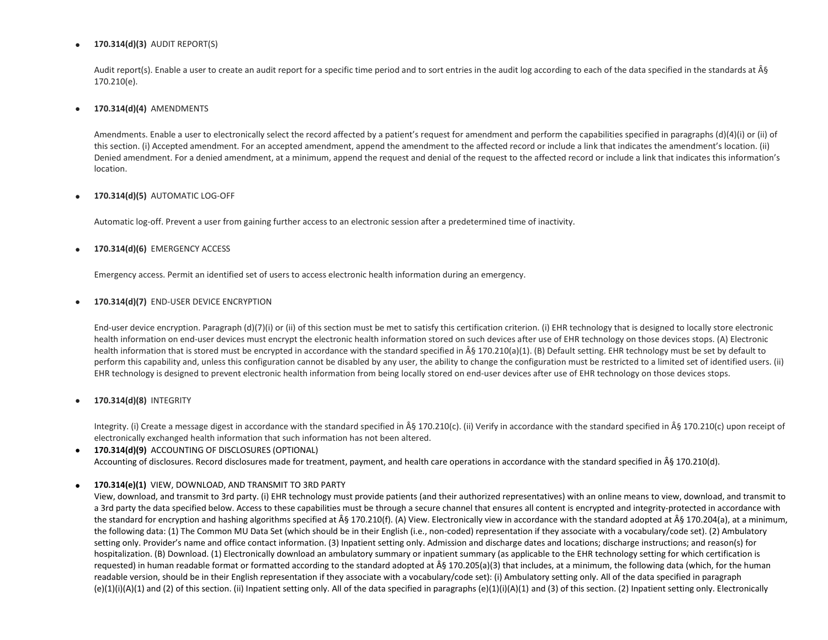#### **170.314(d)(3)** AUDIT REPORT(S)

Audit report(s). Enable a user to create an audit report for a specific time period and to sort entries in the audit log according to each of the data specified in the standards at § 170.210(e).

#### **170.314(d)(4)** AMENDMENTS

Amendments. Enable a user to electronically select the record affected by a patient's request for amendment and perform the capabilities specified in paragraphs (d)(4)(i) or (ii) of this section. (i) Accepted amendment. For an accepted amendment, append the amendment to the affected record or include a link that indicates the amendment's location. (ii) Denied amendment. For a denied amendment, at a minimum, append the request and denial of the request to the affected record or include a link that indicates this information's location.

#### **170.314(d)(5)** AUTOMATIC LOG-OFF

Automatic log-off. Prevent a user from gaining further access to an electronic session after a predetermined time of inactivity.

#### **170.314(d)(6)** EMERGENCY ACCESS

Emergency access. Permit an identified set of users to access electronic health information during an emergency.

#### **170.314(d)(7)** END-USER DEVICE ENCRYPTION

End-user device encryption. Paragraph (d)(7)(i) or (ii) of this section must be met to satisfy this certification criterion. (i) EHR technology that is designed to locally store electronic health information on end-user devices must encrypt the electronic health information stored on such devices after use of EHR technology on those devices stops. (A) Electronic health information that is stored must be encrypted in accordance with the standard specified in  $\hat{A}$ § 170.210(a)(1). (B) Default setting. EHR technology must be set by default to perform this capability and, unless this configuration cannot be disabled by any user, the ability to change the configuration must be restricted to a limited set of identified users. (ii) EHR technology is designed to prevent electronic health information from being locally stored on end-user devices after use of EHR technology on those devices stops.

### **170.314(d)(8)** INTEGRITY

Integrity. (i) Create a message digest in accordance with the standard specified in § 170.210(c). (ii) Verify in accordance with the standard specified in § 170.210(c) upon receipt of electronically exchanged health information that such information has not been altered.

## **170.314(d)(9)** ACCOUNTING OF DISCLOSURES (OPTIONAL) Accounting of disclosures. Record disclosures made for treatment, payment, and health care operations in accordance with the standard specified in § 170.210(d).

### **170.314(e)(1)** VIEW, DOWNLOAD, AND TRANSMIT TO 3RD PARTY

View, download, and transmit to 3rd party. (i) EHR technology must provide patients (and their authorized representatives) with an online means to view, download, and transmit to a 3rd party the data specified below. Access to these capabilities must be through a secure channel that ensures all content is encrypted and integrity-protected in accordance with the standard for encryption and hashing algorithms specified at § 170.210(f). (A) View. Electronically view in accordance with the standard adopted at § 170.204(a), at a minimum, the following data: (1) The Common MU Data Set (which should be in their English (i.e., non-coded) representation if they associate with a vocabulary/code set). (2) Ambulatory setting only. Provider's name and office contact information. (3) Inpatient setting only. Admission and discharge dates and locations; discharge instructions; and reason(s) for hospitalization. (B) Download. (1) Electronically download an ambulatory summary or inpatient summary (as applicable to the EHR technology setting for which certification is requested) in human readable format or formatted according to the standard adopted at  $\hat{A}\S 170.205(a)(3)$  that includes, at a minimum, the following data (which, for the human readable version, should be in their English representation if they associate with a vocabulary/code set): (i) Ambulatory setting only. All of the data specified in paragraph  $(e)(1)(i)(A)(1)$  and (2) of this section. (ii) Inpatient setting only. All of the data specified in paragraphs  $(e)(1)(i)(A)(1)$  and (3) of this section. (2) Inpatient setting only. Electronically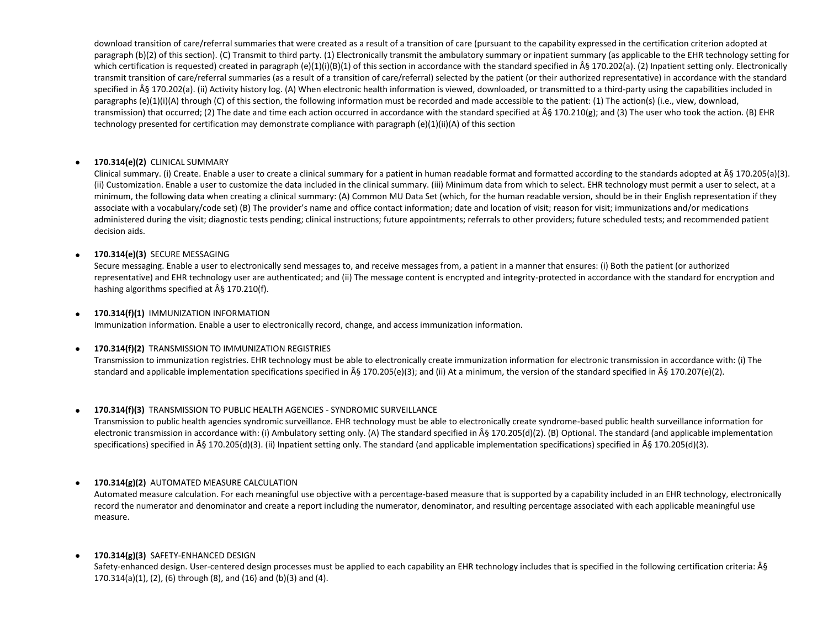download transition of care/referral summaries that were created as a result of a transition of care (pursuant to the capability expressed in the certification criterion adopted at paragraph (b)(2) of this section). (C) Transmit to third party. (1) Electronically transmit the ambulatory summary or inpatient summary (as applicable to the EHR technology setting for which certification is requested) created in paragraph (e)(1)(i)(B)(1) of this section in accordance with the standard specified in  $\hat{A}$ § 170.202(a). (2) Inpatient setting only. Electronically transmit transition of care/referral summaries (as a result of a transition of care/referral) selected by the patient (or their authorized representative) in accordance with the standard specified in § 170.202(a). (ii) Activity history log. (A) When electronic health information is viewed, downloaded, or transmitted to a third-party using the capabilities included in paragraphs (e)(1)(i)(A) through (C) of this section, the following information must be recorded and made accessible to the patient: (1) The action(s) (i.e., view, download, transmission) that occurred; (2) The date and time each action occurred in accordance with the standard specified at § 170.210(g); and (3) The user who took the action. (B) EHR technology presented for certification may demonstrate compliance with paragraph (e)(1)(ii)(A) of this section

### **170.314(e)(2)** CLINICAL SUMMARY

Clinical summary. (i) Create. Enable a user to create a clinical summary for a patient in human readable format and formatted according to the standards adopted at § 170.205(a)(3). (ii) Customization. Enable a user to customize the data included in the clinical summary. (iii) Minimum data from which to select. EHR technology must permit a user to select, at a minimum, the following data when creating a clinical summary: (A) Common MU Data Set (which, for the human readable version, should be in their English representation if they associate with a vocabulary/code set) (B) The provider's name and office contact information; date and location of visit; reason for visit; immunizations and/or medications administered during the visit; diagnostic tests pending; clinical instructions; future appointments; referrals to other providers; future scheduled tests; and recommended patient decision aids.

### **170.314(e)(3)** SECURE MESSAGING

Secure messaging. Enable a user to electronically send messages to, and receive messages from, a patient in a manner that ensures: (i) Both the patient (or authorized representative) and EHR technology user are authenticated; and (ii) The message content is encrypted and integrity-protected in accordance with the standard for encryption and hashing algorithms specified at  $\hat{A}\hat{S}$  170.210(f).

### **170.314(f)(1)** IMMUNIZATION INFORMATION

Immunization information. Enable a user to electronically record, change, and access immunization information.

## **170.314(f)(2)** TRANSMISSION TO IMMUNIZATION REGISTRIES

Transmission to immunization registries. EHR technology must be able to electronically create immunization information for electronic transmission in accordance with: (i) The standard and applicable implementation specifications specified in § 170.205(e)(3); and (ii) At a minimum, the version of the standard specified in § 170.207(e)(2).

## **170.314(f)(3)** TRANSMISSION TO PUBLIC HEALTH AGENCIES - SYNDROMIC SURVEILLANCE

Transmission to public health agencies syndromic surveillance. EHR technology must be able to electronically create syndrome-based public health surveillance information for electronic transmission in accordance with: (i) Ambulatory setting only. (A) The standard specified in § 170.205(d)(2). (B) Optional. The standard (and applicable implementation specifications) specified in § 170.205(d)(3). (ii) Inpatient setting only. The standard (and applicable implementation specifications) specified in § 170.205(d)(3).

## **170.314(g)(2)** AUTOMATED MEASURE CALCULATION

Automated measure calculation. For each meaningful use objective with a percentage-based measure that is supported by a capability included in an EHR technology, electronically record the numerator and denominator and create a report including the numerator, denominator, and resulting percentage associated with each applicable meaningful use measure.

### **170.314(g)(3)** SAFETY-ENHANCED DESIGN

Safety-enhanced design. User-centered design processes must be applied to each capability an EHR technology includes that is specified in the following certification criteria:  $\hat{A}\hat{S}$ 170.314(a)(1), (2), (6) through (8), and (16) and (b)(3) and (4).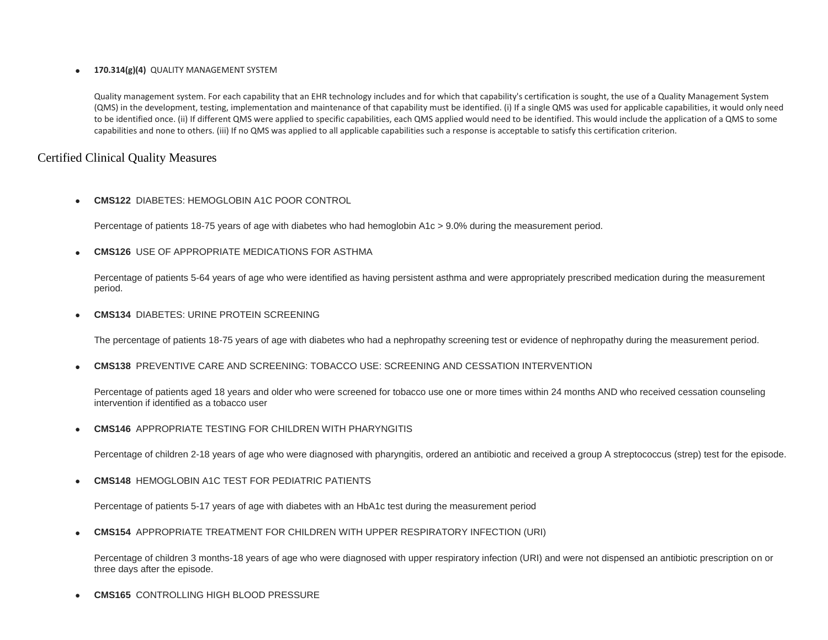### **170.314(g)(4)** QUALITY MANAGEMENT SYSTEM

Quality management system. For each capability that an EHR technology includes and for which that capability's certification is sought, the use of a Quality Management System (QMS) in the development, testing, implementation and maintenance of that capability must be identified. (i) If a single QMS was used for applicable capabilities, it would only need to be identified once. (ii) If different QMS were applied to specific capabilities, each QMS applied would need to be identified. This would include the application of a QMS to some capabilities and none to others. (iii) If no QMS was applied to all applicable capabilities such a response is acceptable to satisfy this certification criterion.

## Certified Clinical Quality Measures

**CMS122** DIABETES: HEMOGLOBIN A1C POOR CONTROL

Percentage of patients 18-75 years of age with diabetes who had hemoglobin A1c > 9.0% during the measurement period.

**CMS126** USE OF APPROPRIATE MEDICATIONS FOR ASTHMA

Percentage of patients 5-64 years of age who were identified as having persistent asthma and were appropriately prescribed medication during the measurement period.

**CMS134** DIABETES: URINE PROTEIN SCREENING

The percentage of patients 18-75 years of age with diabetes who had a nephropathy screening test or evidence of nephropathy during the measurement period.

**CMS138** PREVENTIVE CARE AND SCREENING: TOBACCO USE: SCREENING AND CESSATION INTERVENTION

Percentage of patients aged 18 years and older who were screened for tobacco use one or more times within 24 months AND who received cessation counseling intervention if identified as a tobacco user

**CMS146** APPROPRIATE TESTING FOR CHILDREN WITH PHARYNGITIS

Percentage of children 2-18 years of age who were diagnosed with pharyngitis, ordered an antibiotic and received a group A streptococcus (strep) test for the episode.

**CMS148** HEMOGLOBIN A1C TEST FOR PEDIATRIC PATIENTS

Percentage of patients 5-17 years of age with diabetes with an HbA1c test during the measurement period

**CMS154** APPROPRIATE TREATMENT FOR CHILDREN WITH UPPER RESPIRATORY INFECTION (URI)

Percentage of children 3 months-18 years of age who were diagnosed with upper respiratory infection (URI) and were not dispensed an antibiotic prescription on or three days after the episode.

**CMS165** CONTROLLING HIGH BLOOD PRESSURE